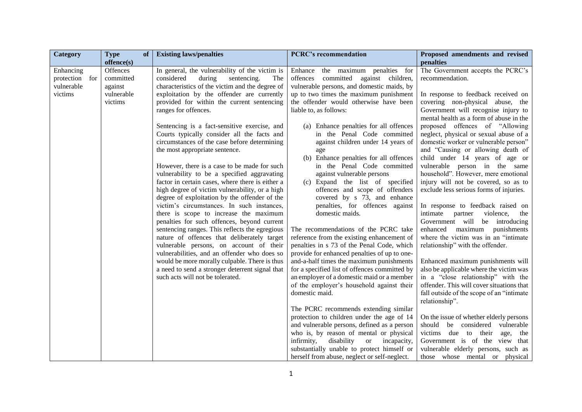| <b>Category</b>       |     | <b>Type</b>           | of | <b>Existing laws/penalties</b>                                                                  | <b>PCRC's recommendation</b>                                                                           | Proposed amendments and revised                                             |
|-----------------------|-----|-----------------------|----|-------------------------------------------------------------------------------------------------|--------------------------------------------------------------------------------------------------------|-----------------------------------------------------------------------------|
|                       |     | offence(s)            |    |                                                                                                 |                                                                                                        | penalties                                                                   |
| Enhancing             |     | Offences              |    | In general, the vulnerability of the victim is                                                  | Enhance the maximum penalties<br>for                                                                   | The Government accepts the PCRC's                                           |
| protection            | for | committed             |    | considered<br>during<br>sentencing.<br>The                                                      | committed against children,<br>offences                                                                | recommendation.                                                             |
| vulnerable<br>victims |     | against<br>vulnerable |    | characteristics of the victim and the degree of                                                 | vulnerable persons, and domestic maids, by<br>up to two times the maximum punishment                   | In response to feedback received on                                         |
|                       |     | victims               |    | exploitation by the offender are currently<br>provided for within the current sentencing        | the offender would otherwise have been                                                                 | covering non-physical abuse, the                                            |
|                       |     |                       |    | ranges for offences.                                                                            | liable to, as follows:                                                                                 | Government will recognise injury to                                         |
|                       |     |                       |    |                                                                                                 |                                                                                                        | mental health as a form of abuse in the                                     |
|                       |     |                       |    | Sentencing is a fact-sensitive exercise, and                                                    | (a) Enhance penalties for all offences                                                                 | proposed offences of "Allowing                                              |
|                       |     |                       |    | Courts typically consider all the facts and                                                     | in the Penal Code committed                                                                            | neglect, physical or sexual abuse of a                                      |
|                       |     |                       |    | circumstances of the case before determining                                                    | against children under 14 years of                                                                     | domestic worker or vulnerable person"                                       |
|                       |     |                       |    | the most appropriate sentence.                                                                  | age                                                                                                    | and "Causing or allowing death of                                           |
|                       |     |                       |    |                                                                                                 | (b) Enhance penalties for all offences                                                                 | child under 14 years of age or                                              |
|                       |     |                       |    | However, there is a case to be made for such                                                    | in the Penal Code committed                                                                            | vulnerable person in the same                                               |
|                       |     |                       |    | vulnerability to be a specified aggravating<br>factor in certain cases, where there is either a | against vulnerable persons<br>(c) Expand the list of specified                                         | household". However, mere emotional<br>injury will not be covered, so as to |
|                       |     |                       |    | high degree of victim vulnerability, or a high                                                  | offences and scope of offenders                                                                        | exclude less serious forms of injuries.                                     |
|                       |     |                       |    | degree of exploitation by the offender of the                                                   | covered by s 73, and enhance                                                                           |                                                                             |
|                       |     |                       |    | victim's circumstances. In such instances,                                                      | penalties, for offences against                                                                        | In response to feedback raised on                                           |
|                       |     |                       |    | there is scope to increase the maximum                                                          | domestic maids.                                                                                        | intimate<br>violence,<br>partner<br>the                                     |
|                       |     |                       |    | penalties for such offences, beyond current                                                     |                                                                                                        | Government will be introducing                                              |
|                       |     |                       |    | sentencing ranges. This reflects the egregious                                                  | The recommendations of the PCRC take                                                                   | maximum<br>punishments<br>enhanced                                          |
|                       |     |                       |    | nature of offences that deliberately target                                                     | reference from the existing enhancement of                                                             | where the victim was in an "intimate"                                       |
|                       |     |                       |    | vulnerable persons, on account of their                                                         | penalties in s 73 of the Penal Code, which                                                             | relationship" with the offender.                                            |
|                       |     |                       |    | vulnerabilities, and an offender who does so<br>would be more morally culpable. There is thus   | provide for enhanced penalties of up to one-<br>and-a-half times the maximum punishments               | Enhanced maximum punishments will                                           |
|                       |     |                       |    | a need to send a stronger deterrent signal that                                                 | for a specified list of offences committed by                                                          | also be applicable where the victim was                                     |
|                       |     |                       |    | such acts will not be tolerated.                                                                | an employer of a domestic maid or a member                                                             | in a "close relationship" with the                                          |
|                       |     |                       |    |                                                                                                 | of the employer's household against their                                                              | offender. This will cover situations that                                   |
|                       |     |                       |    |                                                                                                 | domestic maid.                                                                                         | fall outside of the scope of an "intimate"                                  |
|                       |     |                       |    |                                                                                                 |                                                                                                        | relationship".                                                              |
|                       |     |                       |    |                                                                                                 | The PCRC recommends extending similar                                                                  |                                                                             |
|                       |     |                       |    |                                                                                                 | protection to children under the age of 14                                                             | On the issue of whether elderly persons                                     |
|                       |     |                       |    |                                                                                                 | and vulnerable persons, defined as a person                                                            | be considered<br>should<br>vulnerable                                       |
|                       |     |                       |    |                                                                                                 | who is, by reason of mental or physical                                                                | victims due to<br>their<br>age,<br>the                                      |
|                       |     |                       |    |                                                                                                 | disability<br>infirmity,<br><sub>or</sub><br>incapacity,<br>substantially unable to protect himself or | Government is of the view that<br>vulnerable elderly persons, such as       |
|                       |     |                       |    |                                                                                                 | herself from abuse, neglect or self-neglect.                                                           | those whose mental or physical                                              |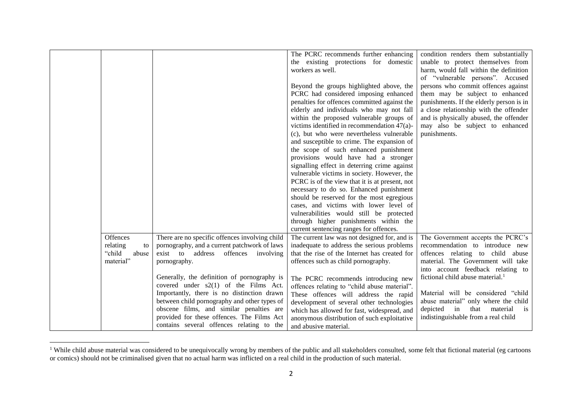|                 |                                                | The PCRC recommends further enhancing          | condition renders them substantially         |
|-----------------|------------------------------------------------|------------------------------------------------|----------------------------------------------|
|                 |                                                | the existing protections for domestic          | unable to protect themselves from            |
|                 |                                                | workers as well.                               | harm, would fall within the definition       |
|                 |                                                |                                                | of "vulnerable persons". Accused             |
|                 |                                                | Beyond the groups highlighted above, the       | persons who commit offences against          |
|                 |                                                | PCRC had considered imposing enhanced          | them may be subject to enhanced              |
|                 |                                                | penalties for offences committed against the   | punishments. If the elderly person is in     |
|                 |                                                | elderly and individuals who may not fall       | a close relationship with the offender       |
|                 |                                                | within the proposed vulnerable groups of       | and is physically abused, the offender       |
|                 |                                                | victims identified in recommendation 47(a)-    | may also be subject to enhanced              |
|                 |                                                | (c), but who were nevertheless vulnerable      | punishments.                                 |
|                 |                                                | and susceptible to crime. The expansion of     |                                              |
|                 |                                                | the scope of such enhanced punishment          |                                              |
|                 |                                                | provisions would have had a stronger           |                                              |
|                 |                                                | signalling effect in deterring crime against   |                                              |
|                 |                                                | vulnerable victims in society. However, the    |                                              |
|                 |                                                | PCRC is of the view that it is at present, not |                                              |
|                 |                                                | necessary to do so. Enhanced punishment        |                                              |
|                 |                                                | should be reserved for the most egregious      |                                              |
|                 |                                                | cases, and victims with lower level of         |                                              |
|                 |                                                | vulnerabilities would still be protected       |                                              |
|                 |                                                | through higher punishments within the          |                                              |
|                 |                                                | current sentencing ranges for offences.        |                                              |
| Offences        | There are no specific offences involving child | The current law was not designed for, and is   | The Government accepts the PCRC's            |
| relating<br>to  | pornography, and a current patchwork of laws   | inadequate to address the serious problems     | recommendation to introduce new              |
| "child<br>abuse | exist to address offences involving            | that the rise of the Internet has created for  | offences relating to child abuse             |
| material"       | pornography.                                   | offences such as child pornography.            | material. The Government will take           |
|                 |                                                |                                                | into account feedback relating to            |
|                 | Generally, the definition of pornography is    | The PCRC recommends introducing new            | fictional child abuse material. <sup>1</sup> |
|                 | covered under $s2(1)$ of the Films Act.        | offences relating to "child abuse material".   |                                              |
|                 | Importantly, there is no distinction drawn     | These offences will address the rapid          | Material will be considered "child           |
|                 | between child pornography and other types of   | development of several other technologies      | abuse material" only where the child         |
|                 | obscene films, and similar penalties are       | which has allowed for fast, widespread, and    | that<br>depicted in<br>material<br>is        |
|                 | provided for these offences. The Films Act     | anonymous distribution of such exploitative    | indistinguishable from a real child          |
|                 | contains several offences relating to the      | and abusive material.                          |                                              |

<sup>&</sup>lt;sup>1</sup> While child abuse material was considered to be unequivocally wrong by members of the public and all stakeholders consulted, some felt that fictional material (eg cartoons or comics) should not be criminalised given that no actual harm was inflicted on a real child in the production of such material.

 $\overline{a}$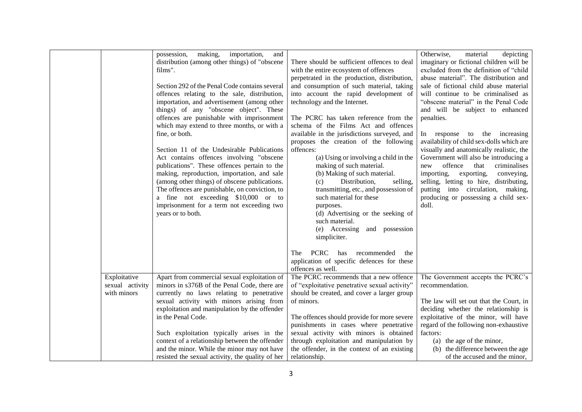|                 | making,<br>importation,<br>possession,<br>and    |                                               | material<br>depicting<br>Otherwise,       |
|-----------------|--------------------------------------------------|-----------------------------------------------|-------------------------------------------|
|                 | distribution (among other things) of "obscene    | There should be sufficient offences to deal   | imaginary or fictional children will be   |
|                 | films".                                          | with the entire ecosystem of offences         | excluded from the definition of "child    |
|                 |                                                  | perpetrated in the production, distribution,  | abuse material". The distribution and     |
|                 | Section 292 of the Penal Code contains several   | and consumption of such material, taking      | sale of fictional child abuse material    |
|                 | offences relating to the sale, distribution,     | into account the rapid development of         | will continue to be criminalised as       |
|                 | importation, and advertisement (among other      | technology and the Internet.                  | "obscene material" in the Penal Code      |
|                 | things) of any "obscene object". These           |                                               | and will be subject to enhanced           |
|                 | offences are punishable with imprisonment        | The PCRC has taken reference from the         | penalties.                                |
|                 | which may extend to three months, or with a      | schema of the Films Act and offences          |                                           |
|                 | fine, or both.                                   | available in the jurisdictions surveyed, and  | In response to the increasing             |
|                 |                                                  | proposes the creation of the following        | availability of child sex-dolls which are |
|                 | Section 11 of the Undesirable Publications       | offences:                                     | visually and anatomically realistic, the  |
|                 | Act contains offences involving "obscene         | (a) Using or involving a child in the         | Government will also be introducing a     |
|                 | publications". These offences pertain to the     | making of such material.                      | offence<br>that<br>criminalises<br>new    |
|                 | making, reproduction, importation, and sale      | (b) Making of such material.                  | importing,<br>exporting,<br>conveying,    |
|                 | (among other things) of obscene publications.    | Distribution,<br>(c)<br>selling,              | selling, letting to hire, distributing,   |
|                 | The offences are punishable, on conviction, to   | transmitting, etc., and possession of         | putting into circulation, making,         |
|                 | a fine not exceeding \$10,000 or to              | such material for these                       | producing or possessing a child sex-      |
|                 | imprisonment for a term not exceeding two        | purposes.                                     | doll.                                     |
|                 | years or to both.                                | (d) Advertising or the seeking of             |                                           |
|                 |                                                  | such material.                                |                                           |
|                 |                                                  | (e) Accessing<br>and possession               |                                           |
|                 |                                                  | simpliciter.                                  |                                           |
|                 |                                                  |                                               |                                           |
|                 |                                                  | PCRC has recommended<br>The<br>the            |                                           |
|                 |                                                  | application of specific defences for these    |                                           |
|                 |                                                  | offences as well.                             |                                           |
| Exploitative    | Apart from commercial sexual exploitation of     | The PCRC recommends that a new offence        | The Government accepts the PCRC's         |
| sexual activity | minors in s376B of the Penal Code, there are     | of "exploitative penetrative sexual activity" | recommendation.                           |
| with minors     | currently no laws relating to penetrative        | should be created, and cover a larger group   |                                           |
|                 | sexual activity with minors arising from         | of minors.                                    | The law will set out that the Court, in   |
|                 | exploitation and manipulation by the offender    |                                               | deciding whether the relationship is      |
|                 | in the Penal Code.                               | The offences should provide for more severe   | exploitative of the minor, will have      |
|                 |                                                  | punishments in cases where penetrative        | regard of the following non-exhaustive    |
|                 | Such exploitation typically arises in the        | sexual activity with minors is obtained       | factors:                                  |
|                 | context of a relationship between the offender   | through exploitation and manipulation by      | (a) the age of the minor,                 |
|                 | and the minor. While the minor may not have      | the offender, in the context of an existing   | (b) the difference between the age        |
|                 | resisted the sexual activity, the quality of her | relationship.                                 | of the accused and the minor,             |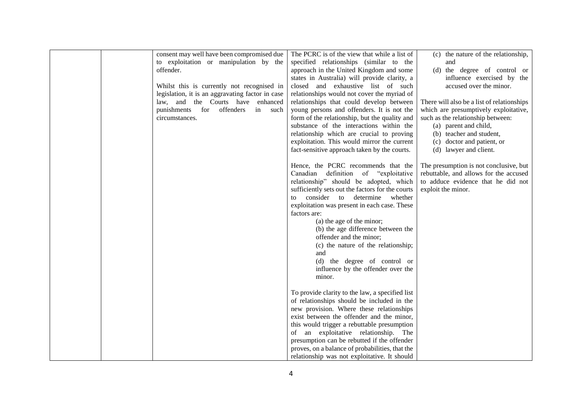| consent may well have been compromised due       | The PCRC is of the view that while a list of     | (c) the nature of the relationship,        |
|--------------------------------------------------|--------------------------------------------------|--------------------------------------------|
| to exploitation or manipulation by the           | specified relationships (similar to the          | and                                        |
| offender.                                        | approach in the United Kingdom and some          | (d) the degree of control or               |
|                                                  | states in Australia) will provide clarity, a     | influence exercised by the                 |
| Whilst this is currently not recognised in       | closed and exhaustive list of such               | accused over the minor.                    |
|                                                  |                                                  |                                            |
| legislation, it is an aggravating factor in case | relationships would not cover the myriad of      |                                            |
| law, and the Courts have enhanced                | relationships that could develop between         | There will also be a list of relationships |
| punishments for offenders<br>in such             | young persons and offenders. It is not the       | which are presumptively exploitative,      |
| circumstances.                                   | form of the relationship, but the quality and    | such as the relationship between:          |
|                                                  | substance of the interactions within the         | (a) parent and child,                      |
|                                                  | relationship which are crucial to proving        | (b) teacher and student,                   |
|                                                  | exploitation. This would mirror the current      | (c) doctor and patient, or                 |
|                                                  | fact-sensitive approach taken by the courts.     | (d) lawyer and client.                     |
|                                                  | Hence, the PCRC recommends that the              | The presumption is not conclusive, but     |
|                                                  | Canadian definition of "exploitative             | rebuttable, and allows for the accused     |
|                                                  | relationship" should be adopted, which           | to adduce evidence that he did not         |
|                                                  | sufficiently sets out the factors for the courts | exploit the minor.                         |
|                                                  | consider to determine whether<br>to              |                                            |
|                                                  | exploitation was present in each case. These     |                                            |
|                                                  | factors are:                                     |                                            |
|                                                  | (a) the age of the minor;                        |                                            |
|                                                  | (b) the age difference between the               |                                            |
|                                                  | offender and the minor;                          |                                            |
|                                                  |                                                  |                                            |
|                                                  | (c) the nature of the relationship;<br>and       |                                            |
|                                                  |                                                  |                                            |
|                                                  | (d) the degree of control or                     |                                            |
|                                                  | influence by the offender over the               |                                            |
|                                                  | minor.                                           |                                            |
|                                                  | To provide clarity to the law, a specified list  |                                            |
|                                                  | of relationships should be included in the       |                                            |
|                                                  | new provision. Where these relationships         |                                            |
|                                                  | exist between the offender and the minor,        |                                            |
|                                                  | this would trigger a rebuttable presumption      |                                            |
|                                                  | of an exploitative relationship. The             |                                            |
|                                                  | presumption can be rebutted if the offender      |                                            |
|                                                  | proves, on a balance of probabilities, that the  |                                            |
|                                                  | relationship was not exploitative. It should     |                                            |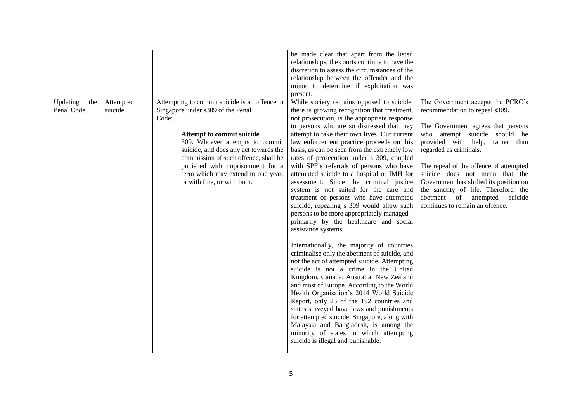|                               |                      |                                                                                                                                                                                                                                                                                                                                                       | be made clear that apart from the listed<br>relationships, the courts continue to have the<br>discretion to assess the circumstances of the<br>relationship between the offender and the<br>minor to determine if exploitation was<br>present.                                                                                                                                                                                                                                                                                                                                                                                                                                                                                                                                                                                                                                                                                                                                                                                                                                                                                                                                                                                                                                                                                                                    |                                                                                                                                                                                                                                                                                                                                                                                                                                           |
|-------------------------------|----------------------|-------------------------------------------------------------------------------------------------------------------------------------------------------------------------------------------------------------------------------------------------------------------------------------------------------------------------------------------------------|-------------------------------------------------------------------------------------------------------------------------------------------------------------------------------------------------------------------------------------------------------------------------------------------------------------------------------------------------------------------------------------------------------------------------------------------------------------------------------------------------------------------------------------------------------------------------------------------------------------------------------------------------------------------------------------------------------------------------------------------------------------------------------------------------------------------------------------------------------------------------------------------------------------------------------------------------------------------------------------------------------------------------------------------------------------------------------------------------------------------------------------------------------------------------------------------------------------------------------------------------------------------------------------------------------------------------------------------------------------------|-------------------------------------------------------------------------------------------------------------------------------------------------------------------------------------------------------------------------------------------------------------------------------------------------------------------------------------------------------------------------------------------------------------------------------------------|
| Updating<br>the<br>Penal Code | Attempted<br>suicide | Attempting to commit suicide is an offence in<br>Singapore under s309 of the Penal<br>Code:<br>Attempt to commit suicide<br>309. Whoever attempts to commit<br>suicide, and does any act towards the<br>commission of such offence, shall be<br>punished with imprisonment for a<br>term which may extend to one year,<br>or with fine, or with both. | While society remains opposed to suicide,<br>there is growing recognition that treatment,<br>not prosecution, is the appropriate response<br>to persons who are so distressed that they<br>attempt to take their own lives. Our current<br>law enforcement practice proceeds on this<br>basis, as can be seen from the extremely low<br>rates of prosecution under s 309, coupled<br>with SPF's referrals of persons who have<br>attempted suicide to a hospital or IMH for<br>assessment. Since the criminal justice<br>system is not suited for the care and<br>treatment of persons who have attempted<br>suicide, repealing s 309 would allow such<br>persons to be more appropriately managed<br>primarily by the healthcare and social<br>assistance systems.<br>Internationally, the majority of countries<br>criminalise only the abetment of suicide, and<br>not the act of attempted suicide. Attempting<br>suicide is not a crime in the United<br>Kingdom, Canada, Australia, New Zealand<br>and most of Europe. According to the World<br>Health Organisation's 2014 World Suicide<br>Report, only 25 of the 192 countries and<br>states surveyed have laws and punishments<br>for attempted suicide. Singapore, along with<br>Malaysia and Bangladesh, is among the<br>minority of states in which attempting<br>suicide is illegal and punishable. | The Government accepts the PCRC's<br>recommendation to repeal s309.<br>The Government agrees that persons<br>who attempt suicide should be<br>provided with help, rather than<br>regarded as criminals.<br>The repeal of the offence of attempted<br>suicide does not mean that the<br>Government has shifted its position on<br>the sanctity of life. Therefore, the<br>abetment of attempted suicide<br>continues to remain an offence. |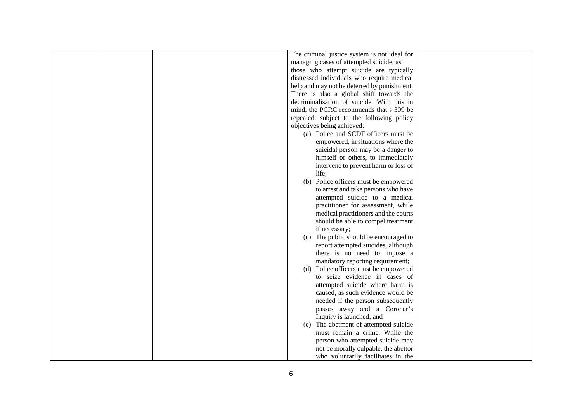|  |  | The criminal justice system is not ideal for                            |  |
|--|--|-------------------------------------------------------------------------|--|
|  |  | managing cases of attempted suicide, as                                 |  |
|  |  | those who attempt suicide are typically                                 |  |
|  |  | distressed individuals who require medical                              |  |
|  |  | help and may not be deterred by punishment.                             |  |
|  |  | There is also a global shift towards the                                |  |
|  |  | decriminalisation of suicide. With this in                              |  |
|  |  | mind, the PCRC recommends that s 309 be                                 |  |
|  |  | repealed, subject to the following policy                               |  |
|  |  | objectives being achieved:                                              |  |
|  |  | (a) Police and SCDF officers must be                                    |  |
|  |  | empowered, in situations where the                                      |  |
|  |  | suicidal person may be a danger to                                      |  |
|  |  | himself or others, to immediately                                       |  |
|  |  | intervene to prevent harm or loss of                                    |  |
|  |  | life;                                                                   |  |
|  |  | (b) Police officers must be empowered                                   |  |
|  |  | to arrest and take persons who have                                     |  |
|  |  | attempted suicide to a medical                                          |  |
|  |  | practitioner for assessment, while                                      |  |
|  |  | medical practitioners and the courts                                    |  |
|  |  | should be able to compel treatment                                      |  |
|  |  | if necessary;                                                           |  |
|  |  | (c) The public should be encouraged to                                  |  |
|  |  | report attempted suicides, although                                     |  |
|  |  | there is no need to impose a                                            |  |
|  |  | mandatory reporting requirement;                                        |  |
|  |  | (d) Police officers must be empowered                                   |  |
|  |  | to seize evidence in cases of                                           |  |
|  |  | attempted suicide where harm is                                         |  |
|  |  | caused, as such evidence would be                                       |  |
|  |  | needed if the person subsequently                                       |  |
|  |  |                                                                         |  |
|  |  | passes away and a Coroner's<br>Inquiry is launched; and                 |  |
|  |  |                                                                         |  |
|  |  | (e) The abetment of attempted suicide<br>must remain a crime. While the |  |
|  |  |                                                                         |  |
|  |  | person who attempted suicide may                                        |  |
|  |  | not be morally culpable, the abettor                                    |  |
|  |  | who voluntarily facilitates in the                                      |  |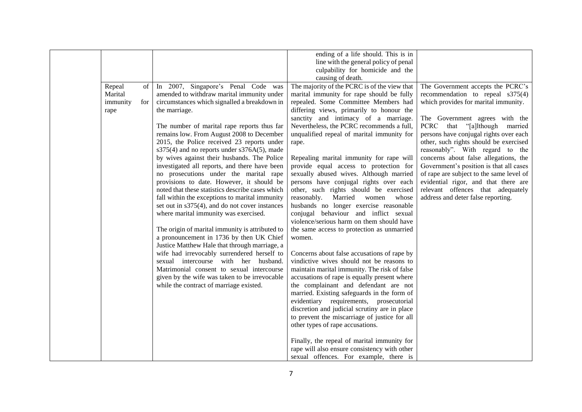|                  |     |                                                                                          | ending of a life should. This is in                                                   |                                          |
|------------------|-----|------------------------------------------------------------------------------------------|---------------------------------------------------------------------------------------|------------------------------------------|
|                  |     |                                                                                          | line with the general policy of penal                                                 |                                          |
|                  |     |                                                                                          | culpability for homicide and the                                                      |                                          |
|                  |     |                                                                                          | causing of death.                                                                     |                                          |
| Repeal           | of  | In 2007, Singapore's Penal Code was                                                      | The majority of the PCRC is of the view that                                          | The Government accepts the PCRC's        |
| Marital          |     | amended to withdraw marital immunity under                                               | marital immunity for rape should be fully                                             | recommendation to repeal $s375(4)$       |
| immunity<br>rape | for | circumstances which signalled a breakdown in<br>the marriage.                            | repealed. Some Committee Members had<br>differing views, primarily to honour the      | which provides for marital immunity.     |
|                  |     |                                                                                          | sanctity and intimacy of a marriage.                                                  | The Government agrees with the           |
|                  |     | The number of marital rape reports thus far                                              | Nevertheless, the PCRC recommends a full,                                             | PCRC that "[a]lthough married            |
|                  |     | remains low. From August 2008 to December                                                | unqualified repeal of marital immunity for                                            | persons have conjugal rights over each   |
|                  |     | 2015, the Police received 23 reports under                                               | rape.                                                                                 | other, such rights should be exercised   |
|                  |     | s375(4) and no reports under s376A(5), made                                              |                                                                                       | reasonably". With regard to the          |
|                  |     | by wives against their husbands. The Police                                              | Repealing marital immunity for rape will                                              | concerns about false allegations, the    |
|                  |     | investigated all reports, and there have been                                            | provide equal access to protection for                                                | Government's position is that all cases  |
|                  |     | no prosecutions under the marital rape                                                   | sexually abused wives. Although married                                               | of rape are subject to the same level of |
|                  |     | provisions to date. However, it should be                                                | persons have conjugal rights over each                                                | evidential rigor, and that there are     |
|                  |     | noted that these statistics describe cases which                                         | other, such rights should be exercised                                                | relevant offences that adequately        |
|                  |     | fall within the exceptions to marital immunity                                           | reasonably.<br>Married<br>women<br>whose                                              | address and deter false reporting.       |
|                  |     | set out in $s375(4)$ , and do not cover instances                                        | husbands no longer exercise reasonable                                                |                                          |
|                  |     | where marital immunity was exercised.                                                    | conjugal behaviour and inflict sexual                                                 |                                          |
|                  |     |                                                                                          | violence/serious harm on them should have                                             |                                          |
|                  |     | The origin of marital immunity is attributed to                                          | the same access to protection as unmarried                                            |                                          |
|                  |     | a pronouncement in 1736 by then UK Chief                                                 | women.                                                                                |                                          |
|                  |     | Justice Matthew Hale that through marriage, a                                            |                                                                                       |                                          |
|                  |     | wife had irrevocably surrendered herself to                                              | Concerns about false accusations of rape by                                           |                                          |
|                  |     | sexual intercourse with her husband.<br>Matrimonial consent to sexual intercourse        | vindictive wives should not be reasons to                                             |                                          |
|                  |     |                                                                                          | maintain marital immunity. The risk of false                                          |                                          |
|                  |     | given by the wife was taken to be irrevocable<br>while the contract of marriage existed. | accusations of rape is equally present where<br>the complainant and defendant are not |                                          |
|                  |     |                                                                                          | married. Existing safeguards in the form of                                           |                                          |
|                  |     |                                                                                          | evidentiary requirements, prosecutorial                                               |                                          |
|                  |     |                                                                                          | discretion and judicial scrutiny are in place                                         |                                          |
|                  |     |                                                                                          | to prevent the miscarriage of justice for all                                         |                                          |
|                  |     |                                                                                          | other types of rape accusations.                                                      |                                          |
|                  |     |                                                                                          |                                                                                       |                                          |
|                  |     |                                                                                          | Finally, the repeal of marital immunity for                                           |                                          |
|                  |     |                                                                                          | rape will also ensure consistency with other                                          |                                          |
|                  |     |                                                                                          | sexual offences. For example, there is                                                |                                          |
|                  |     |                                                                                          |                                                                                       |                                          |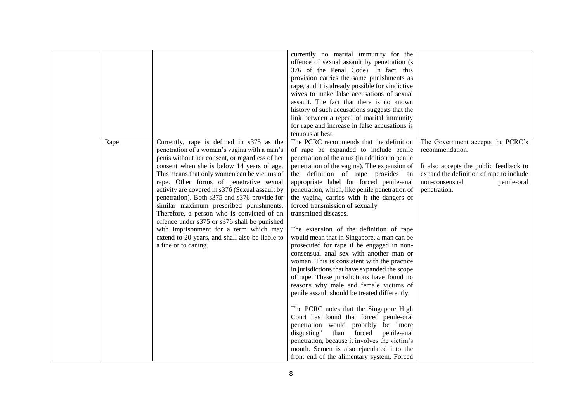|      |                                                                                                                                                                                                                                                                                                                                                                                                                                                                                                                                                                                                                                                        | currently no marital immunity for the<br>offence of sexual assault by penetration (s<br>376 of the Penal Code). In fact, this<br>provision carries the same punishments as<br>rape, and it is already possible for vindictive<br>wives to make false accusations of sexual<br>assault. The fact that there is no known<br>history of such accusations suggests that the<br>link between a repeal of marital immunity<br>for rape and increase in false accusations is<br>tenuous at best.                                                                                                                                                                                                                                                                                                                                                                                                                                                                                                                                                                                                                                                                                         |                                                                                                                                                                                             |
|------|--------------------------------------------------------------------------------------------------------------------------------------------------------------------------------------------------------------------------------------------------------------------------------------------------------------------------------------------------------------------------------------------------------------------------------------------------------------------------------------------------------------------------------------------------------------------------------------------------------------------------------------------------------|-----------------------------------------------------------------------------------------------------------------------------------------------------------------------------------------------------------------------------------------------------------------------------------------------------------------------------------------------------------------------------------------------------------------------------------------------------------------------------------------------------------------------------------------------------------------------------------------------------------------------------------------------------------------------------------------------------------------------------------------------------------------------------------------------------------------------------------------------------------------------------------------------------------------------------------------------------------------------------------------------------------------------------------------------------------------------------------------------------------------------------------------------------------------------------------|---------------------------------------------------------------------------------------------------------------------------------------------------------------------------------------------|
| Rape | Currently, rape is defined in s375 as the<br>penetration of a woman's vagina with a man's<br>penis without her consent, or regardless of her<br>consent when she is below 14 years of age.<br>This means that only women can be victims of<br>rape. Other forms of penetrative sexual<br>activity are covered in s376 (Sexual assault by<br>penetration). Both s375 and s376 provide for<br>similar maximum prescribed punishments.<br>Therefore, a person who is convicted of an<br>offence under s375 or s376 shall be punished<br>with imprisonment for a term which may<br>extend to 20 years, and shall also be liable to<br>a fine or to caning. | The PCRC recommends that the definition<br>of rape be expanded to include penile<br>penetration of the anus (in addition to penile<br>penetration of the vagina). The expansion of<br>the definition of rape provides an<br>appropriate label for forced penile-anal<br>penetration, which, like penile penetration of<br>the vagina, carries with it the dangers of<br>forced transmission of sexually<br>transmitted diseases.<br>The extension of the definition of rape<br>would mean that in Singapore, a man can be<br>prosecuted for rape if he engaged in non-<br>consensual anal sex with another man or<br>woman. This is consistent with the practice<br>in jurisdictions that have expanded the scope<br>of rape. These jurisdictions have found no<br>reasons why male and female victims of<br>penile assault should be treated differently.<br>The PCRC notes that the Singapore High<br>Court has found that forced penile-oral<br>penetration would probably be "more<br>than<br>forced<br>penile-anal<br>disgusting"<br>penetration, because it involves the victim's<br>mouth. Semen is also ejaculated into the<br>front end of the alimentary system. Forced | The Government accepts the PCRC's<br>recommendation.<br>It also accepts the public feedback to<br>expand the definition of rape to include<br>non-consensual<br>penile-oral<br>penetration. |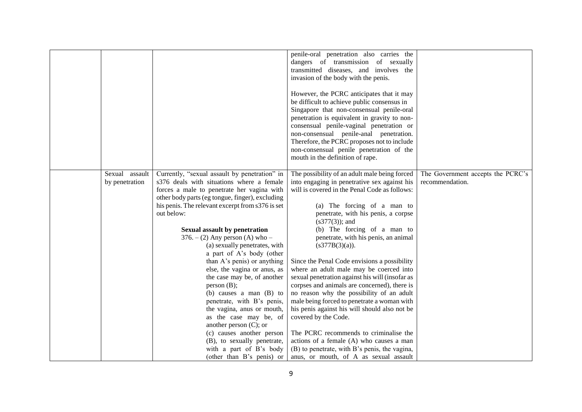|                                  |                                                                                                                                                                                                                                                                                                                                                                                                                                                                                                                                                                                                                                                                                                                                                                                              | penile-oral penetration also carries the<br>dangers of transmission of sexually<br>transmitted diseases, and involves the<br>invasion of the body with the penis.<br>However, the PCRC anticipates that it may<br>be difficult to achieve public consensus in<br>Singapore that non-consensual penile-oral<br>penetration is equivalent in gravity to non-<br>consensual penile-vaginal penetration or<br>non-consensual penile-anal penetration.<br>Therefore, the PCRC proposes not to include<br>non-consensual penile penetration of the<br>mouth in the definition of rape.                                                                                                                                                                                                                                                                                                       |                                                      |
|----------------------------------|----------------------------------------------------------------------------------------------------------------------------------------------------------------------------------------------------------------------------------------------------------------------------------------------------------------------------------------------------------------------------------------------------------------------------------------------------------------------------------------------------------------------------------------------------------------------------------------------------------------------------------------------------------------------------------------------------------------------------------------------------------------------------------------------|----------------------------------------------------------------------------------------------------------------------------------------------------------------------------------------------------------------------------------------------------------------------------------------------------------------------------------------------------------------------------------------------------------------------------------------------------------------------------------------------------------------------------------------------------------------------------------------------------------------------------------------------------------------------------------------------------------------------------------------------------------------------------------------------------------------------------------------------------------------------------------------|------------------------------------------------------|
| Sexual assault<br>by penetration | Currently, "sexual assault by penetration" in<br>s376 deals with situations where a female<br>forces a male to penetrate her vagina with<br>other body parts (eg tongue, finger), excluding<br>his penis. The relevant excerpt from s376 is set<br>out below:<br><b>Sexual assault by penetration</b><br>$376. - (2)$ Any person (A) who –<br>(a) sexually penetrates, with<br>a part of A's body (other<br>than A's penis) or anything<br>else, the vagina or anus, as<br>the case may be, of another<br>person $(B)$ ;<br>(b) causes a man $(B)$ to<br>penetrate, with B's penis,<br>the vagina, anus or mouth,<br>as the case may be, of<br>another person $(C)$ ; or<br>(c) causes another person<br>(B), to sexually penetrate,<br>with a part of B's body<br>(other than B's penis) or | The possibility of an adult male being forced<br>into engaging in penetrative sex against his<br>will is covered in the Penal Code as follows:<br>(a) The forcing of a man to<br>penetrate, with his penis, a corpse<br>$(s377(3))$ ; and<br>(b) The forcing of a man to<br>penetrate, with his penis, an animal<br>(s377B(3)(a)).<br>Since the Penal Code envisions a possibility<br>where an adult male may be coerced into<br>sexual penetration against his will (insofar as<br>corpses and animals are concerned), there is<br>no reason why the possibility of an adult<br>male being forced to penetrate a woman with<br>his penis against his will should also not be<br>covered by the Code.<br>The PCRC recommends to criminalise the<br>actions of a female (A) who causes a man<br>(B) to penetrate, with B's penis, the vagina,<br>anus, or mouth, of A as sexual assault | The Government accepts the PCRC's<br>recommendation. |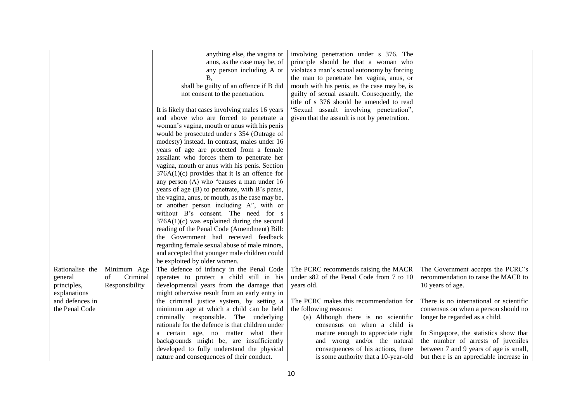|                 |                | anything else, the vagina or                     | involving penetration under s 376. The        |                                         |
|-----------------|----------------|--------------------------------------------------|-----------------------------------------------|-----------------------------------------|
|                 |                | anus, as the case may be, of                     |                                               |                                         |
|                 |                |                                                  | principle should be that a woman who          |                                         |
|                 |                | any person including A or                        | violates a man's sexual autonomy by forcing   |                                         |
|                 |                | <b>B</b> ,                                       | the man to penetrate her vagina, anus, or     |                                         |
|                 |                | shall be guilty of an offence if B did           | mouth with his penis, as the case may be, is  |                                         |
|                 |                | not consent to the penetration.                  | guilty of sexual assault. Consequently, the   |                                         |
|                 |                |                                                  | title of s 376 should be amended to read      |                                         |
|                 |                | It is likely that cases involving males 16 years | "Sexual assault involving penetration",       |                                         |
|                 |                | and above who are forced to penetrate a          | given that the assault is not by penetration. |                                         |
|                 |                | woman's vagina, mouth or anus with his penis     |                                               |                                         |
|                 |                | would be prosecuted under s 354 (Outrage of      |                                               |                                         |
|                 |                | modesty) instead. In contrast, males under 16    |                                               |                                         |
|                 |                | years of age are protected from a female         |                                               |                                         |
|                 |                | assailant who forces them to penetrate her       |                                               |                                         |
|                 |                | vagina, mouth or anus with his penis. Section    |                                               |                                         |
|                 |                | $376A(1)(c)$ provides that it is an offence for  |                                               |                                         |
|                 |                | any person (A) who "causes a man under 16        |                                               |                                         |
|                 |                | years of age (B) to penetrate, with B's penis,   |                                               |                                         |
|                 |                |                                                  |                                               |                                         |
|                 |                | the vagina, anus, or mouth, as the case may be,  |                                               |                                         |
|                 |                | or another person including A", with or          |                                               |                                         |
|                 |                | without B's consent. The need for s              |                                               |                                         |
|                 |                | $376A(1)(c)$ was explained during the second     |                                               |                                         |
|                 |                | reading of the Penal Code (Amendment) Bill:      |                                               |                                         |
|                 |                | the Government had received feedback             |                                               |                                         |
|                 |                | regarding female sexual abuse of male minors,    |                                               |                                         |
|                 |                | and accepted that younger male children could    |                                               |                                         |
|                 |                | be exploited by older women.                     |                                               |                                         |
| Rationalise the | Minimum Age    | The defence of infancy in the Penal Code         | The PCRC recommends raising the MACR          | The Government accepts the PCRC's       |
| general         | Criminal<br>of | operates to protect a child still in his         | under s82 of the Penal Code from 7 to 10      | recommendation to raise the MACR to     |
| principles,     | Responsibility | developmental years from the damage that         | years old.                                    | 10 years of age.                        |
| explanations    |                | might otherwise result from an early entry in    |                                               |                                         |
| and defences in |                | the criminal justice system, by setting a        | The PCRC makes this recommendation for        | There is no international or scientific |
| the Penal Code  |                | minimum age at which a child can be held         | the following reasons:                        | consensus on when a person should no    |
|                 |                | criminally responsible. The underlying           | (a) Although there is no scientific           | longer be regarded as a child.          |
|                 |                | rationale for the defence is that children under | consensus on when a child is                  |                                         |
|                 |                | a certain age, no matter what their              | mature enough to appreciate right             | In Singapore, the statistics show that  |
|                 |                |                                                  |                                               |                                         |
|                 |                | backgrounds might be, are insufficiently         | and wrong and/or the natural                  | the number of arrests of juveniles      |
|                 |                | developed to fully understand the physical       | consequences of his actions, there            | between 7 and 9 years of age is small,  |
|                 |                | nature and consequences of their conduct.        | is some authority that a 10-year-old          | but there is an appreciable increase in |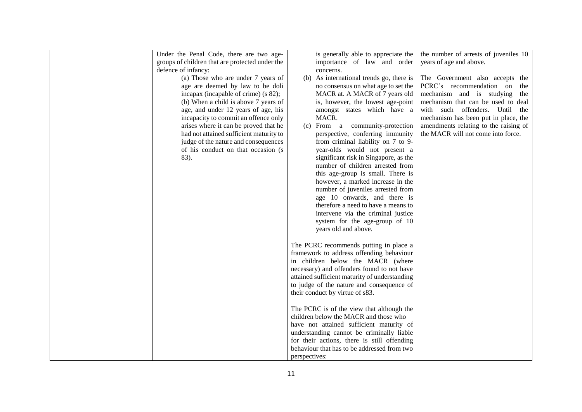| Under the Penal Code, there are two age-        | is generally able to appreciate the                                                        | the number of arrests of juveniles 10 |
|-------------------------------------------------|--------------------------------------------------------------------------------------------|---------------------------------------|
| groups of children that are protected under the | importance of law and order                                                                | years of age and above.               |
| defence of infancy:                             | concerns.                                                                                  |                                       |
| (a) Those who are under 7 years of              | (b) As international trends go, there is                                                   | The Government also accepts the       |
| age are deemed by law to be doli                | no consensus on what age to set the                                                        | PCRC's recommendation on the          |
| incapax (incapable of crime) (s 82);            | MACR at. A MACR of 7 years old                                                             | mechanism and is studying<br>the      |
| (b) When a child is above 7 years of            | is, however, the lowest age-point                                                          | mechanism that can be used to deal    |
| age, and under 12 years of age, his             | amongst states which have a                                                                | with such offenders. Until the        |
| incapacity to commit an offence only            | MACR.                                                                                      | mechanism has been put in place, the  |
| arises where it can be proved that he           | (c) From a community-protection                                                            | amendments relating to the raising of |
| had not attained sufficient maturity to         | perspective, conferring immunity                                                           | the MACR will not come into force.    |
| judge of the nature and consequences            | from criminal liability on 7 to 9-                                                         |                                       |
| of his conduct on that occasion (s)             | year-olds would not present a                                                              |                                       |
| 83).                                            | significant risk in Singapore, as the                                                      |                                       |
|                                                 | number of children arrested from                                                           |                                       |
|                                                 | this age-group is small. There is                                                          |                                       |
|                                                 | however, a marked increase in the                                                          |                                       |
|                                                 | number of juveniles arrested from                                                          |                                       |
|                                                 | age 10 onwards, and there is                                                               |                                       |
|                                                 | therefore a need to have a means to                                                        |                                       |
|                                                 | intervene via the criminal justice                                                         |                                       |
|                                                 | system for the age-group of 10                                                             |                                       |
|                                                 | years old and above.                                                                       |                                       |
|                                                 |                                                                                            |                                       |
|                                                 | The PCRC recommends putting in place a                                                     |                                       |
|                                                 | framework to address offending behaviour                                                   |                                       |
|                                                 | in children below the MACR (where                                                          |                                       |
|                                                 | necessary) and offenders found to not have                                                 |                                       |
|                                                 | attained sufficient maturity of understanding<br>to judge of the nature and consequence of |                                       |
|                                                 | their conduct by virtue of s83.                                                            |                                       |
|                                                 |                                                                                            |                                       |
|                                                 | The PCRC is of the view that although the                                                  |                                       |
|                                                 | children below the MACR and those who                                                      |                                       |
|                                                 | have not attained sufficient maturity of                                                   |                                       |
|                                                 | understanding cannot be criminally liable                                                  |                                       |
|                                                 | for their actions, there is still offending                                                |                                       |
|                                                 | behaviour that has to be addressed from two                                                |                                       |
|                                                 | perspectives:                                                                              |                                       |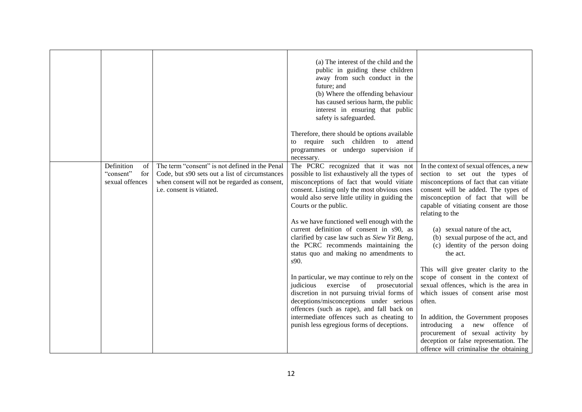|                                                         |                                                                                                                                                                                | (a) The interest of the child and the<br>public in guiding these children<br>away from such conduct in the<br>future; and<br>(b) Where the offending behaviour<br>has caused serious harm, the public<br>interest in ensuring that public<br>safety is safeguarded.<br>Therefore, there should be options available<br>to require such children to attend                                                                                                                                       |                                                                                                                                                                                                                                                                                                                                                                                         |
|---------------------------------------------------------|--------------------------------------------------------------------------------------------------------------------------------------------------------------------------------|-------------------------------------------------------------------------------------------------------------------------------------------------------------------------------------------------------------------------------------------------------------------------------------------------------------------------------------------------------------------------------------------------------------------------------------------------------------------------------------------------|-----------------------------------------------------------------------------------------------------------------------------------------------------------------------------------------------------------------------------------------------------------------------------------------------------------------------------------------------------------------------------------------|
|                                                         |                                                                                                                                                                                | programmes or undergo supervision if                                                                                                                                                                                                                                                                                                                                                                                                                                                            |                                                                                                                                                                                                                                                                                                                                                                                         |
|                                                         |                                                                                                                                                                                | necessary.                                                                                                                                                                                                                                                                                                                                                                                                                                                                                      |                                                                                                                                                                                                                                                                                                                                                                                         |
| Definition<br>of<br>"consent"<br>for<br>sexual offences | The term "consent" is not defined in the Penal<br>Code, but s90 sets out a list of circumstances<br>when consent will not be regarded as consent,<br>i.e. consent is vitiated. | The PCRC recognized that it was not<br>possible to list exhaustively all the types of<br>misconceptions of fact that would vitiate<br>consent. Listing only the most obvious ones<br>would also serve little utility in guiding the<br>Courts or the public.<br>As we have functioned well enough with the<br>current definition of consent in s90, as<br>clarified by case law such as Siew Yit Beng,<br>the PCRC recommends maintaining the<br>status quo and making no amendments to<br>s90. | In the context of sexual offences, a new<br>section to set out the types of<br>misconceptions of fact that can vitiate<br>consent will be added. The types of<br>misconception of fact that will be<br>capable of vitiating consent are those<br>relating to the<br>(a) sexual nature of the act,<br>(b) sexual purpose of the act, and<br>(c) identity of the person doing<br>the act. |
|                                                         |                                                                                                                                                                                | In particular, we may continue to rely on the<br>exercise<br>of<br>judicious<br>prosecutorial<br>discretion in not pursuing trivial forms of<br>deceptions/misconceptions under serious<br>offences (such as rape), and fall back on<br>intermediate offences such as cheating to<br>punish less egregious forms of deceptions.                                                                                                                                                                 | This will give greater clarity to the<br>scope of consent in the context of<br>sexual offences, which is the area in<br>which issues of consent arise most<br>often.<br>In addition, the Government proposes<br>introducing a new offence of<br>procurement of sexual activity by<br>deception or false representation. The<br>offence will criminalise the obtaining                   |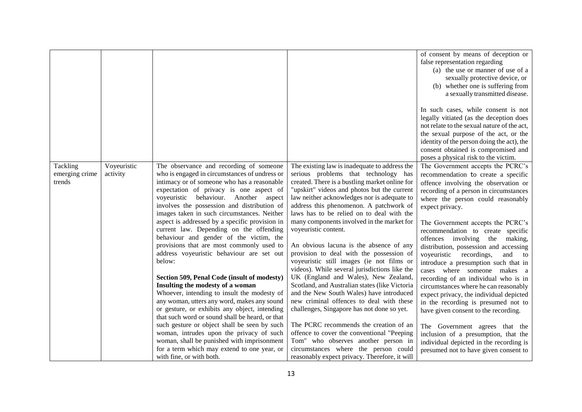|                                                  |             |                                                                                                                                                                                                                                                                                                                                                                                                                                                                                                                                                                                                                                                                                                                                                                                                                                                                                                                                                                                                                                                                                 |                                                                                                                                                                                                                                                                                                                                                                                                                                                                                                                                                                                                                                                                                                                                                                                                                                                                                                                                                                                                                                                  | of consent by means of deception or<br>false representation regarding<br>(a) the use or manner of use of a<br>sexually protective device, or<br>(b) whether one is suffering from<br>a sexually transmitted disease.<br>In such cases, while consent is not                                                                                                                                                                                                                                                                                                                                                                                                                                                                                                                                                                                                         |
|--------------------------------------------------|-------------|---------------------------------------------------------------------------------------------------------------------------------------------------------------------------------------------------------------------------------------------------------------------------------------------------------------------------------------------------------------------------------------------------------------------------------------------------------------------------------------------------------------------------------------------------------------------------------------------------------------------------------------------------------------------------------------------------------------------------------------------------------------------------------------------------------------------------------------------------------------------------------------------------------------------------------------------------------------------------------------------------------------------------------------------------------------------------------|--------------------------------------------------------------------------------------------------------------------------------------------------------------------------------------------------------------------------------------------------------------------------------------------------------------------------------------------------------------------------------------------------------------------------------------------------------------------------------------------------------------------------------------------------------------------------------------------------------------------------------------------------------------------------------------------------------------------------------------------------------------------------------------------------------------------------------------------------------------------------------------------------------------------------------------------------------------------------------------------------------------------------------------------------|---------------------------------------------------------------------------------------------------------------------------------------------------------------------------------------------------------------------------------------------------------------------------------------------------------------------------------------------------------------------------------------------------------------------------------------------------------------------------------------------------------------------------------------------------------------------------------------------------------------------------------------------------------------------------------------------------------------------------------------------------------------------------------------------------------------------------------------------------------------------|
|                                                  |             |                                                                                                                                                                                                                                                                                                                                                                                                                                                                                                                                                                                                                                                                                                                                                                                                                                                                                                                                                                                                                                                                                 |                                                                                                                                                                                                                                                                                                                                                                                                                                                                                                                                                                                                                                                                                                                                                                                                                                                                                                                                                                                                                                                  | legally vitiated (as the deception does<br>not relate to the sexual nature of the act,<br>the sexual purpose of the act, or the<br>identity of the person doing the act), the<br>consent obtained is compromised and                                                                                                                                                                                                                                                                                                                                                                                                                                                                                                                                                                                                                                                |
|                                                  |             |                                                                                                                                                                                                                                                                                                                                                                                                                                                                                                                                                                                                                                                                                                                                                                                                                                                                                                                                                                                                                                                                                 |                                                                                                                                                                                                                                                                                                                                                                                                                                                                                                                                                                                                                                                                                                                                                                                                                                                                                                                                                                                                                                                  | poses a physical risk to the victim.                                                                                                                                                                                                                                                                                                                                                                                                                                                                                                                                                                                                                                                                                                                                                                                                                                |
| Tackling<br>activity<br>emerging crime<br>trends | Voyeuristic | The observance and recording of someone<br>who is engaged in circumstances of undress or<br>intimacy or of someone who has a reasonable<br>expectation of privacy is one aspect of<br>voyeuristic behaviour. Another aspect<br>involves the possession and distribution of<br>images taken in such circumstances. Neither<br>aspect is addressed by a specific provision in<br>current law. Depending on the offending<br>behaviour and gender of the victim, the<br>provisions that are most commonly used to<br>address voyeuristic behaviour are set out<br>below:<br>Section 509, Penal Code (insult of modesty)<br>Insulting the modesty of a woman<br>Whoever, intending to insult the modesty of<br>any woman, utters any word, makes any sound<br>or gesture, or exhibits any object, intending<br>that such word or sound shall be heard, or that<br>such gesture or object shall be seen by such<br>woman, intrudes upon the privacy of such<br>woman, shall be punished with imprisonment<br>for a term which may extend to one year, or<br>with fine, or with both. | The existing law is inadequate to address the<br>serious problems that technology has<br>created. There is a bustling market online for<br>"upskirt" videos and photos but the current<br>law neither acknowledges nor is adequate to<br>address this phenomenon. A patchwork of<br>laws has to be relied on to deal with the<br>many components involved in the market for<br>voyeuristic content.<br>An obvious lacuna is the absence of any<br>provision to deal with the possession of<br>voyeuristic still images (ie not films or<br>videos). While several jurisdictions like the<br>UK (England and Wales), New Zealand,<br>Scotland, and Australian states (like Victoria<br>and the New South Wales) have introduced<br>new criminal offences to deal with these<br>challenges, Singapore has not done so yet.<br>The PCRC recommends the creation of an<br>offence to cover the conventional "Peeping<br>Tom" who observes another person in<br>circumstances where the person could<br>reasonably expect privacy. Therefore, it will | The Government accepts the PCRC's<br>recommendation to create a specific<br>offence involving the observation or<br>recording of a person in circumstances<br>where the person could reasonably<br>expect privacy.<br>The Government accepts the PCRC's<br>recommendation to create specific<br>offences involving the<br>making,<br>distribution, possession and accessing<br>voyeuristic recordings,<br>and<br>to<br>introduce a presumption such that in<br>cases where someone makes a<br>recording of an individual who is in<br>circumstances where he can reasonably<br>expect privacy, the individual depicted<br>in the recording is presumed not to<br>have given consent to the recording.<br>The Government agrees that the<br>inclusion of a presumption, that the<br>individual depicted in the recording is<br>presumed not to have given consent to |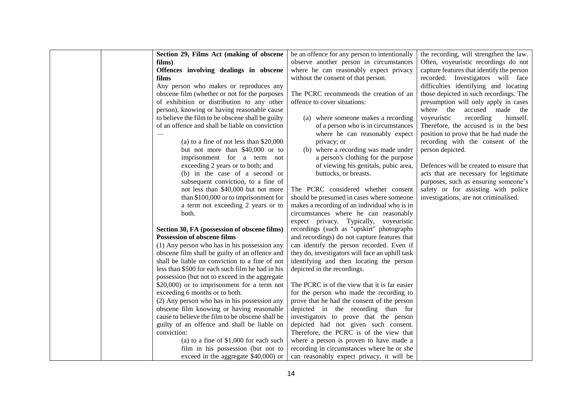| Section 29, Films Act (making of obscene          | be an offence for any person to intentionally   | the recording, will strengthen the law.   |
|---------------------------------------------------|-------------------------------------------------|-------------------------------------------|
| films)                                            | observe another person in circumstances         | Often, voyeuristic recordings do not      |
| Offences involving dealings in obscene            | where he can reasonably expect privacy          | capture features that identify the person |
| films                                             | without the consent of that person.             | recorded. Investigators will face         |
| Any person who makes or reproduces any            |                                                 | difficulties identifying and locating     |
| obscene film (whether or not for the purposes     | The PCRC recommends the creation of an          | those depicted in such recordings. The    |
| of exhibition or distribution to any other        | offence to cover situations:                    | presumption will only apply in cases      |
| person), knowing or having reasonable cause       |                                                 | accused made the<br>where the             |
| to believe the film to be obscene shall be guilty | (a) where someone makes a recording             | voyeuristic<br>himself.<br>recording      |
| of an offence and shall be liable on conviction   | of a person who is in circumstances             | Therefore, the accused is in the best     |
|                                                   | where he can reasonably expect                  | position to prove that he had made the    |
| (a) to a fine of not less than $$20,000$          | privacy; or                                     | recording with the consent of the         |
| but not more than \$40,000 or to                  | (b) where a recording was made under            | person depicted.                          |
| imprisonment for a term not                       | a person's clothing for the purpose             |                                           |
| exceeding 2 years or to both; and                 | of viewing his genitals, pubic area,            | Defences will be created to ensure that   |
| (b) in the case of a second or                    | buttocks, or breasts.                           | acts that are necessary for legitimate    |
| subsequent conviction, to a fine of               |                                                 | purposes, such as ensuring someone's      |
| not less than \$40,000 but not more               | The PCRC considered whether consent             | safety or for assisting with police       |
| than \$100,000 or to imprisonment for             | should be presumed in cases where someone       | investigations, are not criminalised.     |
| a term not exceeding 2 years or to                | makes a recording of an individual who is in    |                                           |
| both.                                             | circumstances where he can reasonably           |                                           |
|                                                   | expect privacy. Typically, voyeuristic          |                                           |
| Section 30, FA (possession of obscene films)      | recordings (such as "upskirt" photographs       |                                           |
| <b>Possession of obscene films</b>                | and recordings) do not capture features that    |                                           |
| (1) Any person who has in his possession any      | can identify the person recorded. Even if       |                                           |
| obscene film shall be guilty of an offence and    | they do, investigators will face an uphill task |                                           |
| shall be liable on conviction to a fine of not    | identifying and then locating the person        |                                           |
| less than \$500 for each such film he had in his  | depicted in the recordings.                     |                                           |
| possession (but not to exceed in the aggregate    |                                                 |                                           |
| \$20,000) or to imprisonment for a term not       | The PCRC is of the view that it is far easier   |                                           |
| exceeding 6 months or to both.                    | for the person who made the recording to        |                                           |
| (2) Any person who has in his possession any      | prove that he had the consent of the person     |                                           |
| obscene film knowing or having reasonable         | depicted in the recording than for              |                                           |
| cause to believe the film to be obscene shall be  | investigators to prove that the person          |                                           |
| guilty of an offence and shall be liable on       | depicted had not given such consent.            |                                           |
| conviction:                                       | Therefore, the PCRC is of the view that         |                                           |
| (a) to a fine of $$1,000$ for each such           | where a person is proven to have made a         |                                           |
| film in his possession (but not to                | recording in circumstances where he or she      |                                           |
| exceed in the aggregate \$40,000) or              | can reasonably expect privacy, it will be       |                                           |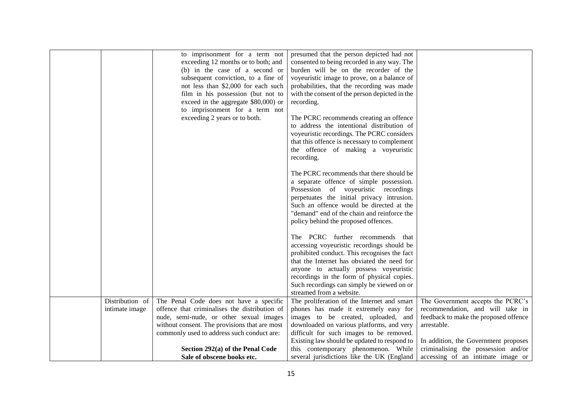|                 | to imprisonment for a term not<br>exceeding 12 months or to both; and<br>(b) in the case of a second or<br>subsequent conviction, to a fine of<br>not less than \$2,000 for each such | presumed that the person depicted had not<br>consented to being recorded in any way. The<br>burden will be on the recorder of the<br>voyeuristic image to prove, on a balance of<br>probabilities, that the recording was made |                                                      |
|-----------------|---------------------------------------------------------------------------------------------------------------------------------------------------------------------------------------|--------------------------------------------------------------------------------------------------------------------------------------------------------------------------------------------------------------------------------|------------------------------------------------------|
|                 | film in his possession (but not to<br>exceed in the aggregate \$80,000) or                                                                                                            | with the consent of the person depicted in the<br>recording.                                                                                                                                                                   |                                                      |
|                 | to imprisonment for a term not                                                                                                                                                        |                                                                                                                                                                                                                                |                                                      |
|                 | exceeding 2 years or to both.                                                                                                                                                         | The PCRC recommends creating an offence<br>to address the intentional distribution of                                                                                                                                          |                                                      |
|                 |                                                                                                                                                                                       | voyeuristic recordings. The PCRC considers                                                                                                                                                                                     |                                                      |
|                 |                                                                                                                                                                                       | that this offence is necessary to complement                                                                                                                                                                                   |                                                      |
|                 |                                                                                                                                                                                       | the offence of making a voyeuristic<br>recording.                                                                                                                                                                              |                                                      |
|                 |                                                                                                                                                                                       | The PCRC recommends that there should be                                                                                                                                                                                       |                                                      |
|                 |                                                                                                                                                                                       | a separate offence of simple possession.<br>Possession of voyeuristic recordings                                                                                                                                               |                                                      |
|                 |                                                                                                                                                                                       | perpetuates the initial privacy intrusion.                                                                                                                                                                                     |                                                      |
|                 |                                                                                                                                                                                       | Such an offence would be directed at the                                                                                                                                                                                       |                                                      |
|                 |                                                                                                                                                                                       | "demand" end of the chain and reinforce the<br>policy behind the proposed offences.                                                                                                                                            |                                                      |
|                 |                                                                                                                                                                                       |                                                                                                                                                                                                                                |                                                      |
|                 |                                                                                                                                                                                       | The PCRC further recommends that<br>accessing voyeuristic recordings should be                                                                                                                                                 |                                                      |
|                 |                                                                                                                                                                                       | prohibited conduct. This recognises the fact                                                                                                                                                                                   |                                                      |
|                 |                                                                                                                                                                                       | that the Internet has obviated the need for                                                                                                                                                                                    |                                                      |
|                 |                                                                                                                                                                                       | anyone to actually possess voyeuristic<br>recordings in the form of physical copies.                                                                                                                                           |                                                      |
|                 |                                                                                                                                                                                       | Such recordings can simply be viewed on or                                                                                                                                                                                     |                                                      |
|                 |                                                                                                                                                                                       | streamed from a website.                                                                                                                                                                                                       |                                                      |
| Distribution of | The Penal Code does not have a specific                                                                                                                                               | The proliferation of the Internet and smart                                                                                                                                                                                    | The Government accepts the PCRC's                    |
| intimate image  | offence that criminalises the distribution of                                                                                                                                         | phones has made it extremely easy for                                                                                                                                                                                          | recommendation, and will take in                     |
|                 | nude, semi-nude, or other sexual images<br>without consent. The provisions that are most                                                                                              | images to be created, uploaded, and<br>downloaded on various platforms, and very                                                                                                                                               | feedback to make the proposed offence<br>arrestable. |
|                 | commonly used to address such conduct are:                                                                                                                                            | difficult for such images to be removed.                                                                                                                                                                                       |                                                      |
|                 |                                                                                                                                                                                       | Existing law should be updated to respond to                                                                                                                                                                                   | In addition, the Government proposes                 |
|                 | Section 292(a) of the Penal Code                                                                                                                                                      | this contemporary phenomenon. While                                                                                                                                                                                            | criminalising the possession and/or                  |
|                 | Sale of obscene books etc.                                                                                                                                                            | several jurisdictions like the UK (England                                                                                                                                                                                     | accessing of an intimate image or                    |
|                 |                                                                                                                                                                                       |                                                                                                                                                                                                                                |                                                      |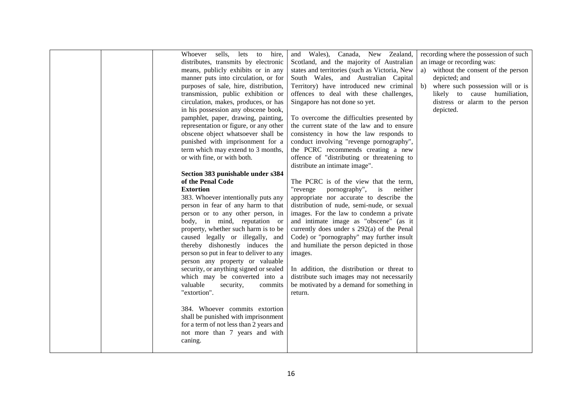|  | Whoever sells,<br>lets<br>hire,<br>to   | and Wales), Canada, New Zealand,              | recording where the possession of such |
|--|-----------------------------------------|-----------------------------------------------|----------------------------------------|
|  | distributes, transmits by electronic    | Scotland, and the majority of Australian      | an image or recording was:             |
|  | means, publicly exhibits or in any      | states and territories (such as Victoria, New | a) without the consent of the person   |
|  | manner puts into circulation, or for    | South Wales, and Australian Capital           | depicted; and                          |
|  | purposes of sale, hire, distribution,   | Territory) have introduced new criminal       | b) where such possession will or is    |
|  | transmission, public exhibition or      | offences to deal with these challenges,       | likely to cause humiliation,           |
|  | circulation, makes, produces, or has    | Singapore has not done so yet.                | distress or alarm to the person        |
|  | in his possession any obscene book,     |                                               | depicted.                              |
|  | pamphlet, paper, drawing, painting,     | To overcome the difficulties presented by     |                                        |
|  | representation or figure, or any other  | the current state of the law and to ensure    |                                        |
|  | obscene object whatsoever shall be      | consistency in how the law responds to        |                                        |
|  | punished with imprisonment for a        | conduct involving "revenge pornography",      |                                        |
|  | term which may extend to 3 months,      | the PCRC recommends creating a new            |                                        |
|  | or with fine, or with both.             | offence of "distributing or threatening to    |                                        |
|  |                                         | distribute an intimate image".                |                                        |
|  | Section 383 punishable under s384       |                                               |                                        |
|  | of the Penal Code                       | The PCRC is of the view that the term,        |                                        |
|  | <b>Extortion</b>                        | "revenge<br>pornography",<br>is<br>neither    |                                        |
|  | 383. Whoever intentionally puts any     | appropriate nor accurate to describe the      |                                        |
|  | person in fear of any harm to that      | distribution of nude, semi-nude, or sexual    |                                        |
|  | person or to any other person, in       | images. For the law to condemn a private      |                                        |
|  | body, in mind, reputation or            | and intimate image as "obscene" (as it        |                                        |
|  | property, whether such harm is to be    | currently does under s 292(a) of the Penal    |                                        |
|  | caused legally or illegally, and        | Code) or "pornography" may further insult     |                                        |
|  | thereby dishonestly induces the         | and humiliate the person depicted in those    |                                        |
|  | person so put in fear to deliver to any | images.                                       |                                        |
|  | person any property or valuable         |                                               |                                        |
|  | security, or anything signed or sealed  | In addition, the distribution or threat to    |                                        |
|  | which may be converted into a           | distribute such images may not necessarily    |                                        |
|  | valuable<br>security,<br>commits        | be motivated by a demand for something in     |                                        |
|  | "extortion".                            | return.                                       |                                        |
|  |                                         |                                               |                                        |
|  | 384. Whoever commits extortion          |                                               |                                        |
|  | shall be punished with imprisonment     |                                               |                                        |
|  | for a term of not less than 2 years and |                                               |                                        |
|  | not more than 7 years and with          |                                               |                                        |
|  | caning.                                 |                                               |                                        |
|  |                                         |                                               |                                        |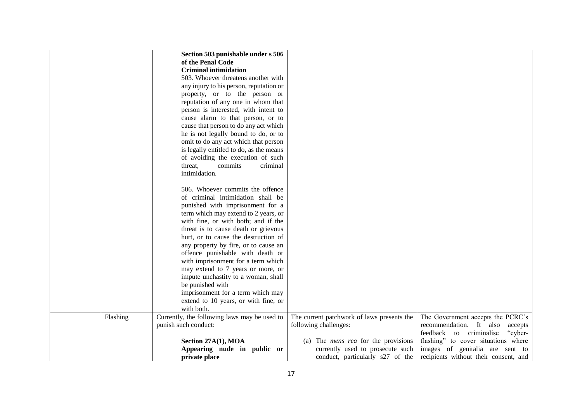|          | Section 503 punishable under s 506           |                                            |                                       |
|----------|----------------------------------------------|--------------------------------------------|---------------------------------------|
|          | of the Penal Code                            |                                            |                                       |
|          | <b>Criminal intimidation</b>                 |                                            |                                       |
|          | 503. Whoever threatens another with          |                                            |                                       |
|          | any injury to his person, reputation or      |                                            |                                       |
|          | property, or to the person or                |                                            |                                       |
|          | reputation of any one in whom that           |                                            |                                       |
|          | person is interested, with intent to         |                                            |                                       |
|          | cause alarm to that person, or to            |                                            |                                       |
|          | cause that person to do any act which        |                                            |                                       |
|          | he is not legally bound to do, or to         |                                            |                                       |
|          | omit to do any act which that person         |                                            |                                       |
|          | is legally entitled to do, as the means      |                                            |                                       |
|          | of avoiding the execution of such            |                                            |                                       |
|          | threat,<br>commits<br>criminal               |                                            |                                       |
|          | intimidation.                                |                                            |                                       |
|          |                                              |                                            |                                       |
|          | 506. Whoever commits the offence             |                                            |                                       |
|          | of criminal intimidation shall be            |                                            |                                       |
|          | punished with imprisonment for a             |                                            |                                       |
|          | term which may extend to 2 years, or         |                                            |                                       |
|          | with fine, or with both; and if the          |                                            |                                       |
|          | threat is to cause death or grievous         |                                            |                                       |
|          | hurt, or to cause the destruction of         |                                            |                                       |
|          | any property by fire, or to cause an         |                                            |                                       |
|          | offence punishable with death or             |                                            |                                       |
|          | with imprisonment for a term which           |                                            |                                       |
|          | may extend to 7 years or more, or            |                                            |                                       |
|          | impute unchastity to a woman, shall          |                                            |                                       |
|          | be punished with                             |                                            |                                       |
|          | imprisonment for a term which may            |                                            |                                       |
|          | extend to 10 years, or with fine, or         |                                            |                                       |
|          | with both.                                   |                                            |                                       |
| Flashing | Currently, the following laws may be used to | The current patchwork of laws presents the | The Government accepts the PCRC's     |
|          | punish such conduct:                         | following challenges:                      | recommendation. It also<br>accepts    |
|          |                                              |                                            | feedback to criminalise<br>"cyber-    |
|          | Section 27A(1), MOA                          | (a) The <i>mens rea</i> for the provisions | flashing" to cover situations where   |
|          | Appearing nude in public or                  | currently used to prosecute such           | images of genitalia are sent to       |
|          | private place                                | conduct, particularly s27 of the           | recipients without their consent, and |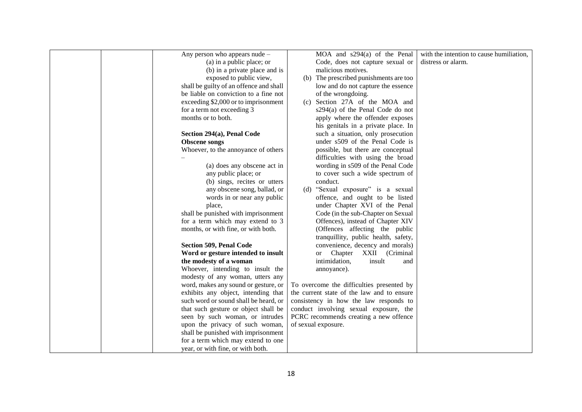|                      | Any person who appears nude -           | MOA and $s294(a)$ of the Penal             | with the intention to cause humiliation, |
|----------------------|-----------------------------------------|--------------------------------------------|------------------------------------------|
|                      | (a) in a public place; or               | Code, does not capture sexual or           | distress or alarm.                       |
|                      | (b) in a private place and is           | malicious motives.                         |                                          |
|                      | exposed to public view,                 | (b) The prescribed punishments are too     |                                          |
|                      | shall be guilty of an offence and shall | low and do not capture the essence         |                                          |
|                      | be liable on conviction to a fine not   | of the wrongdoing.                         |                                          |
|                      | exceeding \$2,000 or to imprisonment    | (c) Section 27A of the MOA and             |                                          |
|                      | for a term not exceeding 3              | s294(a) of the Penal Code do not           |                                          |
|                      | months or to both.                      | apply where the offender exposes           |                                          |
|                      |                                         | his genitals in a private place. In        |                                          |
|                      | Section 294(a), Penal Code              | such a situation, only prosecution         |                                          |
| <b>Obscene songs</b> |                                         | under s509 of the Penal Code is            |                                          |
|                      | Whoever, to the annoyance of others     | possible, but there are conceptual         |                                          |
|                      |                                         | difficulties with using the broad          |                                          |
|                      | (a) does any obscene act in             | wording in s509 of the Penal Code          |                                          |
|                      | any public place; or                    | to cover such a wide spectrum of           |                                          |
|                      | (b) sings, recites or utters            | conduct.                                   |                                          |
|                      | any obscene song, ballad, or            | (d) "Sexual exposure" is a sexual          |                                          |
|                      | words in or near any public             | offence, and ought to be listed            |                                          |
|                      | place,                                  | under Chapter XVI of the Penal             |                                          |
|                      | shall be punished with imprisonment     | Code (in the sub-Chapter on Sexual         |                                          |
|                      | for a term which may extend to 3        | Offences), instead of Chapter XIV          |                                          |
|                      | months, or with fine, or with both.     | (Offences affecting the public             |                                          |
|                      |                                         | tranquillity, public health, safety,       |                                          |
|                      | <b>Section 509, Penal Code</b>          | convenience, decency and morals)           |                                          |
|                      | Word or gesture intended to insult      | Chapter<br>XXII (Criminal<br>or            |                                          |
|                      | the modesty of a woman                  | intimidation,<br>insult<br>and             |                                          |
|                      | Whoever, intending to insult the        | annoyance).                                |                                          |
|                      | modesty of any woman, utters any        |                                            |                                          |
|                      | word, makes any sound or gesture, or    | To overcome the difficulties presented by  |                                          |
|                      | exhibits any object, intending that     | the current state of the law and to ensure |                                          |
|                      | such word or sound shall be heard, or   | consistency in how the law responds to     |                                          |
|                      | that such gesture or object shall be    | conduct involving sexual exposure, the     |                                          |
|                      | seen by such woman, or intrudes         | PCRC recommends creating a new offence     |                                          |
|                      | upon the privacy of such woman,         | of sexual exposure.                        |                                          |
|                      | shall be punished with imprisonment     |                                            |                                          |
|                      | for a term which may extend to one      |                                            |                                          |
|                      | year, or with fine, or with both.       |                                            |                                          |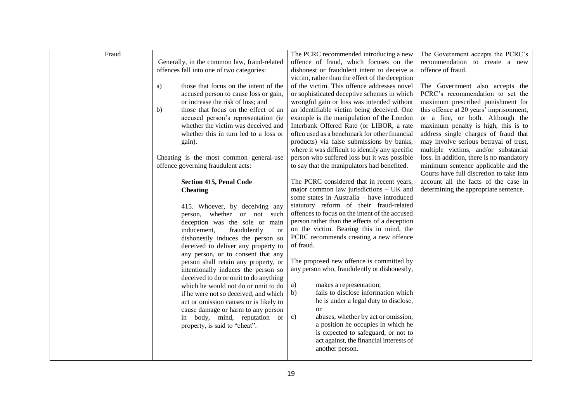| Fraud |                                             | The PCRC recommended introducing a new          | The Government accepts the PCRC's        |
|-------|---------------------------------------------|-------------------------------------------------|------------------------------------------|
|       | Generally, in the common law, fraud-related | offence of fraud, which focuses on the          | recommendation to create a new           |
|       | offences fall into one of two categories:   | dishonest or fraudulent intent to deceive a     | offence of fraud.                        |
|       |                                             | victim, rather than the effect of the deception |                                          |
|       | those that focus on the intent of the<br>a) | of the victim. This offence addresses novel     | The Government also accepts the          |
|       | accused person to cause loss or gain,       | or sophisticated deceptive schemes in which     | PCRC's recommendation to set the         |
|       | or increase the risk of loss; and           | wrongful gain or loss was intended without      | maximum prescribed punishment for        |
|       | those that focus on the effect of an<br>b)  | an identifiable victim being deceived. One      | this offence at 20 years' imprisonment,  |
|       | accused person's representation (ie         | example is the manipulation of the London       | or a fine, or both. Although the         |
|       | whether the victim was deceived and         | Interbank Offered Rate (or LIBOR, a rate        | maximum penalty is high, this is to      |
|       | whether this in turn led to a loss or       | often used as a benchmark for other financial   | address single charges of fraud that     |
|       | gain).                                      | products) via false submissions by banks,       | may involve serious betrayal of trust,   |
|       |                                             | where it was difficult to identify any specific | multiple victims, and/or substantial     |
|       | Cheating is the most common general-use     | person who suffered loss but it was possible    | loss. In addition, there is no mandatory |
|       | offence governing fraudulent acts:          | to say that the manipulators had benefited.     | minimum sentence applicable and the      |
|       |                                             |                                                 | Courts have full discretion to take into |
|       | <b>Section 415, Penal Code</b>              | The PCRC considered that in recent years,       | account all the facts of the case in     |
|       | <b>Cheating</b>                             | major common law jurisdictions $- UK$ and       | determining the appropriate sentence.    |
|       |                                             | some states in Australia - have introduced      |                                          |
|       | 415. Whoever, by deceiving any              | statutory reform of their fraud-related         |                                          |
|       | person, whether or not such                 | offences to focus on the intent of the accused  |                                          |
|       | deception was the sole or main              | person rather than the effects of a deception   |                                          |
|       | inducement,<br>fraudulently<br>or           | on the victim. Bearing this in mind, the        |                                          |
|       | dishonestly induces the person so           | PCRC recommends creating a new offence          |                                          |
|       | deceived to deliver any property to         | of fraud.                                       |                                          |
|       | any person, or to consent that any          |                                                 |                                          |
|       | person shall retain any property, or        | The proposed new offence is committed by        |                                          |
|       | intentionally induces the person so         | any person who, fraudulently or dishonestly,    |                                          |
|       | deceived to do or omit to do anything       |                                                 |                                          |
|       | which he would not do or omit to do         | makes a representation;<br>a)                   |                                          |
|       | if he were not so deceived, and which       | fails to disclose information which<br>b)       |                                          |
|       | act or omission causes or is likely to      | he is under a legal duty to disclose,           |                                          |
|       | cause damage or harm to any person          | <b>or</b>                                       |                                          |
|       | in body, mind, reputation or                | abuses, whether by act or omission,<br>c)       |                                          |
|       | property, is said to "cheat".               | a position he occupies in which he              |                                          |
|       |                                             | is expected to safeguard, or not to             |                                          |
|       |                                             | act against, the financial interests of         |                                          |
|       |                                             | another person.                                 |                                          |
|       |                                             |                                                 |                                          |